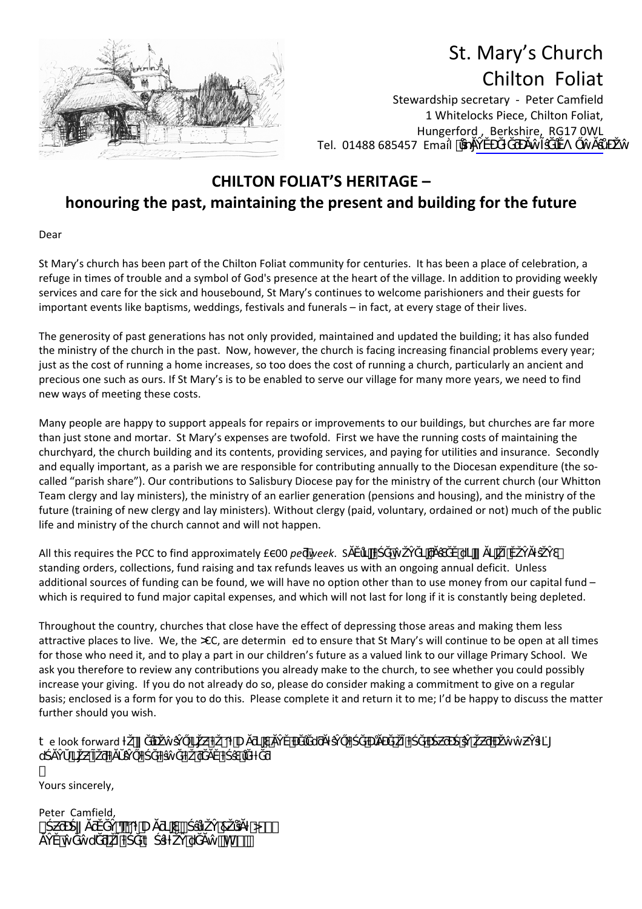

## St. Mary's Church Chilton Foliat

Stewardship secretary ‐ Peter Camfield 1 Whitelocks Piece, Chilton Foliat, Hungerford , Berkshire, RG17 0WL Tel. 01488 685457 Email

## **CHILTON FOLIAT'S HERITAGE – honouring the past, maintaining the present and building for the future**

Dear

St Mary's church has been part of the Chilton Foliat community for centuries. It has been a place of celebration, a refuge in times of trouble and a symbol of God's presence at the heart of the village. In addition to providing weekly services and care for the sick and housebound, St Mary's continues to welcome parishioners and their guests for important events like baptisms, weddings, festivals and funerals – in fact, at every stage of their lives.

The generosity of past generations has not only provided, maintained and updated the building; it has also funded the ministry of the church in the past. Now, however, the church is facing increasing financial problems every year; just as the cost of running a home increases, so too does the cost of running a church, particularly an ancient and precious one such as ours. If St Mary's is to be enabled to serve our village for many more years, we need to find new ways of meeting these costs.

Many people are happy to support appeals for repairs or improvements to our buildings, but churches are far more than just stone and mortar. St Mary's expenses are twofold. First we have the running costs of maintaining the churchyard, the church building and its contents, providing services, and paying for utilities and insurance. Secondly and equally important, as a parish we are responsible for contributing annually to the Diocesan expenditure (the socalled "parish share"). Our contributions to Salisbury Diocese pay for the ministry of the current church (our Whitton Team clergy and lay ministers), the ministry of an earlier generation (pensions and housing), and the ministry of the future (training of new clergy and lay ministers). Without clergy (paid, voluntary, ordained or not) much of the public life and ministry of the church cannot and will not happen.

All this requires the PCC to find approximately £ 00 *pe week*. S standing orders, collections, fund raising and tax refunds leaves us with an ongoing annual deficit. Unless additional sources of funding can be found, we will have no option other than to use money from our capital fund – which is required to fund major capital expenses, and which will not last for long if it is constantly being depleted.

Throughout the country, churches that close have the effect of depressing those areas and making them less attractive places to live. We, the  $\alpha c$ , are determin ed to ensure that St Mary's will continue to be open at all times for those who need it, and to play a part in our children's future as a valued link to our village Primary School. We ask you therefore to review any contributions you already make to the church, to see whether you could possibly increase your giving. If you do not already do so, please do consider making a commitment to give on a regular basis; enclosed is a form for you to do this. Please complete it and return it to me; I'd be happy to discuss the matter further should you wish.

 $\ddagger$ e look forward  $\ddagger$ d in the state of the state of the state of the state of the state of the state of the state of the state of the state of the state of the state of the state of the state of the state of the state of the state of the state

Yours sincerely,

ľ

Peter Camfield, *¥ ζ ζ δυ (γγρημα)*<br>*Ψ Δλήμης δυ (γγρημα) <i>A I L D A##*